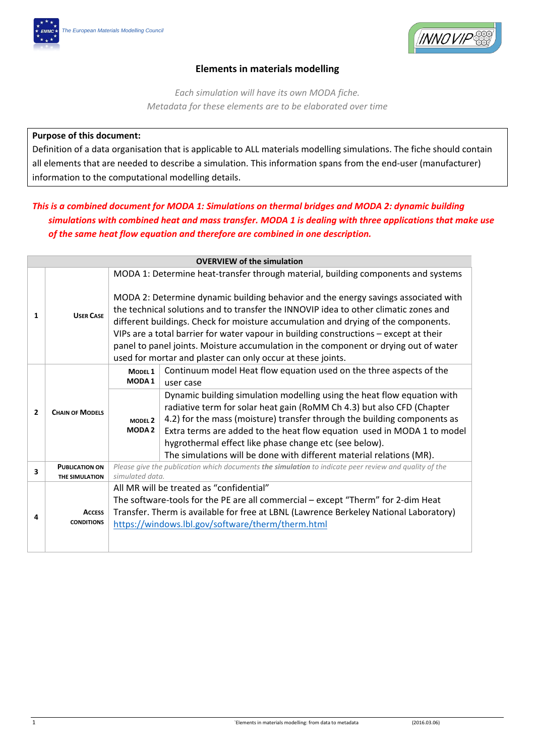

## **Elements in materials modelling**

*Each simulation will have its own MODA fiche. Metadata for these elements are to be elaborated over time*

## **Purpose of this document:**

Definition of a data organisation that is applicable to ALL materials modelling simulations. The fiche should contain all elements that are needed to describe a simulation. This information spans from the end-user (manufacturer) information to the computational modelling details.

# *This is a combined document for MODA 1: Simulations on thermal bridges and MODA 2: dynamic building simulations with combined heat and mass transfer. MODA 1 is dealing with three applications that make use of the same heat flow equation and therefore are combined in one description.*

|                       | <b>OVERVIEW of the simulation</b>  |                                         |                                                                                                                                                                                                                                                                                                                                                                                                                                                                                                                  |  |  |
|-----------------------|------------------------------------|-----------------------------------------|------------------------------------------------------------------------------------------------------------------------------------------------------------------------------------------------------------------------------------------------------------------------------------------------------------------------------------------------------------------------------------------------------------------------------------------------------------------------------------------------------------------|--|--|
|                       |                                    |                                         | MODA 1: Determine heat-transfer through material, building components and systems                                                                                                                                                                                                                                                                                                                                                                                                                                |  |  |
| <b>USER CASE</b><br>1 |                                    |                                         | MODA 2: Determine dynamic building behavior and the energy savings associated with<br>the technical solutions and to transfer the INNOVIP idea to other climatic zones and<br>different buildings. Check for moisture accumulation and drying of the components.<br>VIPs are a total barrier for water vapour in building constructions - except at their<br>panel to panel joints. Moisture accumulation in the component or drying out of water<br>used for mortar and plaster can only occur at these joints. |  |  |
|                       | <b>CHAIN OF MODELS</b>             | MODEL <sub>1</sub><br>MODA <sub>1</sub> | Continuum model Heat flow equation used on the three aspects of the<br>user case                                                                                                                                                                                                                                                                                                                                                                                                                                 |  |  |
| $\overline{2}$        |                                    | MODEL <sub>2</sub><br><b>MODA2</b>      | Dynamic building simulation modelling using the heat flow equation with<br>radiative term for solar heat gain (RoMM Ch 4.3) but also CFD (Chapter<br>4.2) for the mass (moisture) transfer through the building components as<br>Extra terms are added to the heat flow equation used in MODA 1 to model<br>hygrothermal effect like phase change etc (see below).<br>The simulations will be done with different material relations (MR).                                                                       |  |  |
| 3                     | <b>PUBLICATION ON</b>              |                                         | Please give the publication which documents the simulation to indicate peer review and quality of the                                                                                                                                                                                                                                                                                                                                                                                                            |  |  |
|                       | THE SIMULATION                     | simulated data.                         |                                                                                                                                                                                                                                                                                                                                                                                                                                                                                                                  |  |  |
| 4                     | <b>ACCESS</b><br><b>CONDITIONS</b> |                                         | All MR will be treated as "confidential"<br>The software-tools for the PE are all commercial - except "Therm" for 2-dim Heat<br>Transfer. Therm is available for free at LBNL (Lawrence Berkeley National Laboratory)<br>https://windows.lbl.gov/software/therm/therm.html                                                                                                                                                                                                                                       |  |  |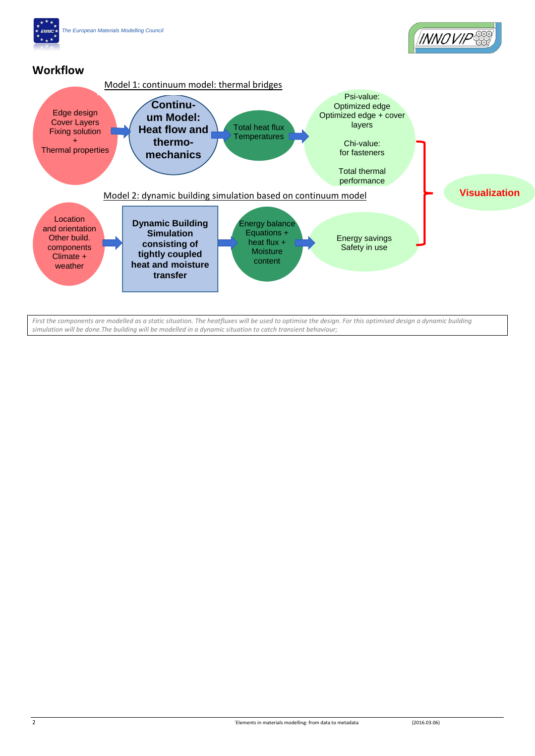

*First the components are modelled as a static situation. The heatfluxes will be used to optimise the design. For this optimised design a dynamic building simulation will be done.The building will be modelled in a dynamic situation to catch transient behaviour;*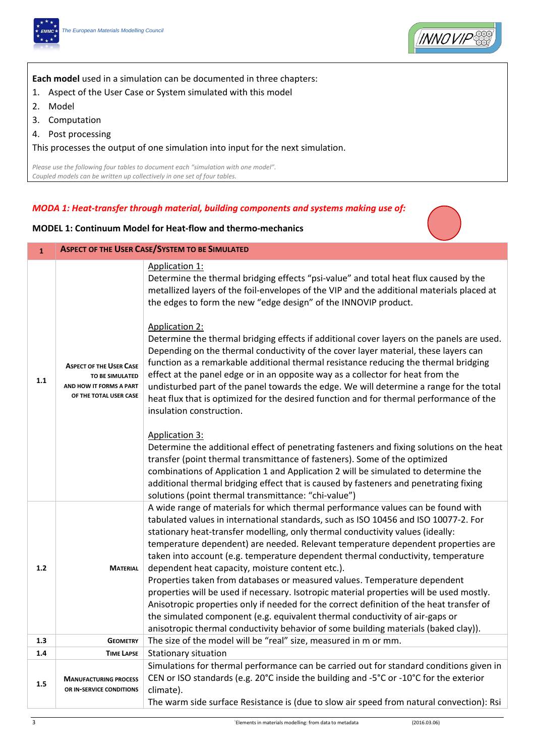



**Each model** used in a simulation can be documented in three chapters:

- 1. Aspect of the User Case or System simulated with this model
- 2. Model
- 3. Computation
- 4. Post processing

This processes the output of one simulation into input for the next simulation.

*Please use the following four tables to document each "simulation with one model". Coupled models can be written up collectively in one set of four tables.*

#### *MODA 1: Heat-transfer through material, building components and systems making use of:*

#### **MODEL 1: Continuum Model for Heat-flow and thermo-mechanics**

| $\mathbf{1}$ | <b>ASPECT OF THE USER CASE/SYSTEM TO BE SIMULATED</b>                                                  |                                                                                                                                                                                                                                                                                                                                                                                                                                                                                                                                                                                                        |  |
|--------------|--------------------------------------------------------------------------------------------------------|--------------------------------------------------------------------------------------------------------------------------------------------------------------------------------------------------------------------------------------------------------------------------------------------------------------------------------------------------------------------------------------------------------------------------------------------------------------------------------------------------------------------------------------------------------------------------------------------------------|--|
|              |                                                                                                        | Application 1:<br>Determine the thermal bridging effects "psi-value" and total heat flux caused by the<br>metallized layers of the foil-envelopes of the VIP and the additional materials placed at<br>the edges to form the new "edge design" of the INNOVIP product.                                                                                                                                                                                                                                                                                                                                 |  |
| 1.1          | <b>ASPECT OF THE USER CASE</b><br>TO BE SIMULATED<br>AND HOW IT FORMS A PART<br>OF THE TOTAL USER CASE | <b>Application 2:</b><br>Determine the thermal bridging effects if additional cover layers on the panels are used.<br>Depending on the thermal conductivity of the cover layer material, these layers can<br>function as a remarkable additional thermal resistance reducing the thermal bridging<br>effect at the panel edge or in an opposite way as a collector for heat from the<br>undisturbed part of the panel towards the edge. We will determine a range for the total<br>heat flux that is optimized for the desired function and for thermal performance of the<br>insulation construction. |  |
|              |                                                                                                        | <b>Application 3:</b><br>Determine the additional effect of penetrating fasteners and fixing solutions on the heat<br>transfer (point thermal transmittance of fasteners). Some of the optimized<br>combinations of Application 1 and Application 2 will be simulated to determine the<br>additional thermal bridging effect that is caused by fasteners and penetrating fixing<br>solutions (point thermal transmittance: "chi-value")                                                                                                                                                                |  |
| 1.2          | <b>MATERIAL</b>                                                                                        | A wide range of materials for which thermal performance values can be found with<br>tabulated values in international standards, such as ISO 10456 and ISO 10077-2. For<br>stationary heat-transfer modelling, only thermal conductivity values (ideally:<br>temperature dependent) are needed. Relevant temperature dependent properties are<br>taken into account (e.g. temperature dependent thermal conductivity, temperature<br>dependent heat capacity, moisture content etc.).                                                                                                                  |  |
|              |                                                                                                        | Properties taken from databases or measured values. Temperature dependent<br>properties will be used if necessary. Isotropic material properties will be used mostly.<br>Anisotropic properties only if needed for the correct definition of the heat transfer of<br>the simulated component (e.g. equivalent thermal conductivity of air-gaps or<br>anisotropic thermal conductivity behavior of some building materials (baked clay)).                                                                                                                                                               |  |
| 1.3          | <b>GEOMETRY</b>                                                                                        | The size of the model will be "real" size, measured in m or mm.                                                                                                                                                                                                                                                                                                                                                                                                                                                                                                                                        |  |
| 1.4          | <b>TIME LAPSE</b>                                                                                      | Stationary situation                                                                                                                                                                                                                                                                                                                                                                                                                                                                                                                                                                                   |  |
| 1.5          | <b>MANUFACTURING PROCESS</b><br>OR IN-SERVICE CONDITIONS                                               | Simulations for thermal performance can be carried out for standard conditions given in<br>CEN or ISO standards (e.g. 20°C inside the building and -5°C or -10°C for the exterior<br>climate).<br>The warm side surface Resistance is (due to slow air speed from natural convection): Rsi                                                                                                                                                                                                                                                                                                             |  |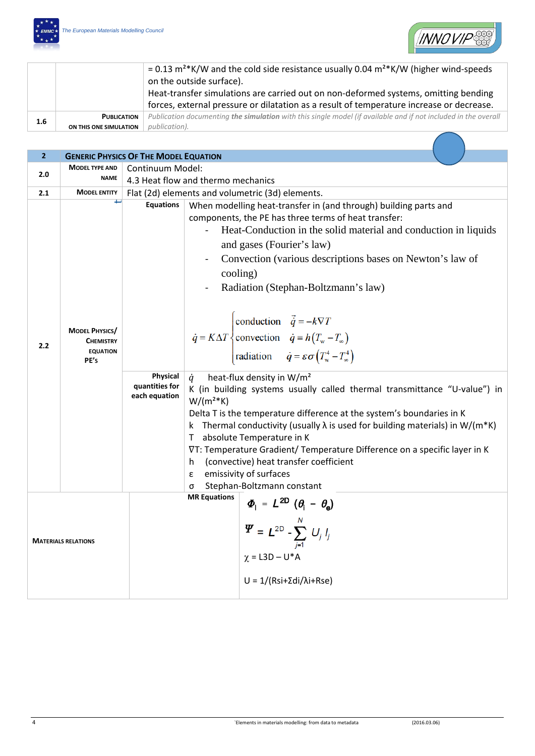



|         |                        | = 0.13 $m^{2*}$ K/W and the cold side resistance usually 0.04 $m^{2*}$ K/W (higher wind-speeds                 |
|---------|------------------------|----------------------------------------------------------------------------------------------------------------|
|         |                        | on the outside surface).                                                                                       |
|         |                        | Heat-transfer simulations are carried out on non-deformed systems, omitting bending                            |
|         |                        | forces, external pressure or dilatation as a result of temperature increase or decrease.                       |
| $1.6\,$ | <b>PUBLICATION</b>     | Publication documenting the simulation with this single model (if available and if not included in the overall |
|         | ON THIS ONE SIMULATION | publication).                                                                                                  |

| $\overline{2}$             |                                                                      | <b>GENERIC PHYSICS OF THE MODEL EQUATION</b>                    |                                                                                                                                                                                                                                                                                                                                                                                                                                                                                                                                                                                                                                                                                                                                                                                                                                                                                                                                                                                                                                                               |  |  |
|----------------------------|----------------------------------------------------------------------|-----------------------------------------------------------------|---------------------------------------------------------------------------------------------------------------------------------------------------------------------------------------------------------------------------------------------------------------------------------------------------------------------------------------------------------------------------------------------------------------------------------------------------------------------------------------------------------------------------------------------------------------------------------------------------------------------------------------------------------------------------------------------------------------------------------------------------------------------------------------------------------------------------------------------------------------------------------------------------------------------------------------------------------------------------------------------------------------------------------------------------------------|--|--|
| 2.0                        | <b>MODEL TYPE AND</b>                                                | Continuum Model:                                                |                                                                                                                                                                                                                                                                                                                                                                                                                                                                                                                                                                                                                                                                                                                                                                                                                                                                                                                                                                                                                                                               |  |  |
|                            | <b>NAME</b>                                                          | 4.3 Heat flow and thermo mechanics                              |                                                                                                                                                                                                                                                                                                                                                                                                                                                                                                                                                                                                                                                                                                                                                                                                                                                                                                                                                                                                                                                               |  |  |
| 2.1                        | <b>MODEL ENTITY</b>                                                  |                                                                 | Flat (2d) elements and volumetric (3d) elements.                                                                                                                                                                                                                                                                                                                                                                                                                                                                                                                                                                                                                                                                                                                                                                                                                                                                                                                                                                                                              |  |  |
| 2.2                        | <b>MODEL PHYSICS/</b><br><b>CHEMISTRY</b><br><b>EQUATION</b><br>PE's | <b>Equations</b><br>Physical<br>quantities for<br>each equation | When modelling heat-transfer in (and through) building parts and<br>components, the PE has three terms of heat transfer:<br>Heat-Conduction in the solid material and conduction in liquids<br>and gases (Fourier's law)<br>Convection (various descriptions bases on Newton's law of<br>cooling)<br>Radiation (Stephan-Boltzmann's law)<br>$\dot{q} = K\Delta T$ conduction $\vec{q} = -k\nabla T$<br>$\dot{q} = K\Delta T$ convection $\dot{q} = h(T_w - T_w)$<br>radiation $\dot{q} = \varepsilon \sigma \left( T_w^4 - T_w^4 \right)$<br>heat-flux density in W/m <sup>2</sup><br>$\dot{q}$<br>K (in building systems usually called thermal transmittance "U-value") in<br>$W/(m^{2*}K)$<br>Delta T is the temperature difference at the system's boundaries in K<br>Thermal conductivity (usually $\lambda$ is used for building materials) in W/(m*K)<br>k.<br>T absolute Temperature in K<br>VT: Temperature Gradient/ Temperature Difference on a specific layer in K<br>(convective) heat transfer coefficient<br>h.<br>emissivity of surfaces<br>ε |  |  |
| <b>MATERIALS RELATIONS</b> |                                                                      |                                                                 | <b>MR Equations</b><br>$\boldsymbol{\varPhi}_{\text{l}}\ =\ \boldsymbol{L}^{\text{2D}}\ \left(\boldsymbol{\theta}_{\text{i}}\ -\ \boldsymbol{\theta}_{\text{e}}\right)$<br>$\Psi = L^{2D} - \sum_{i=1}^{N} U_i I_i$                                                                                                                                                                                                                                                                                                                                                                                                                                                                                                                                                                                                                                                                                                                                                                                                                                           |  |  |
|                            |                                                                      |                                                                 | $\gamma =$ L3D – U*A<br>$U = 1/(Rsi+\Sigma di/\lambda i+Rse)$                                                                                                                                                                                                                                                                                                                                                                                                                                                                                                                                                                                                                                                                                                                                                                                                                                                                                                                                                                                                 |  |  |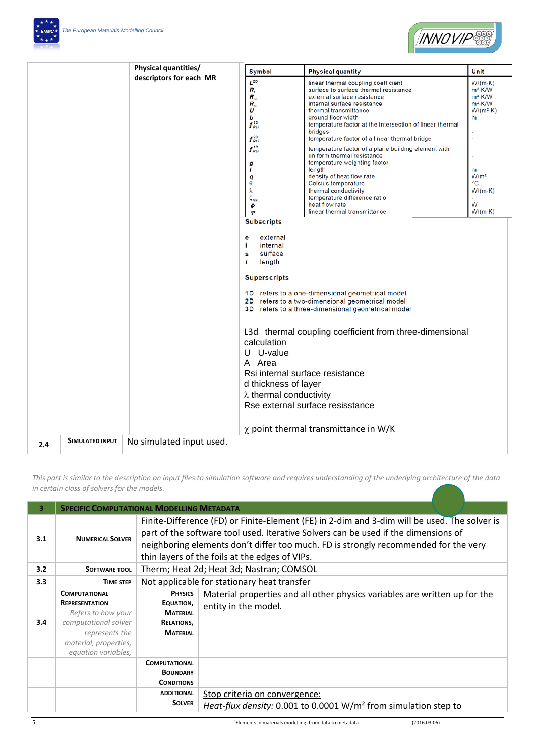



|     |                 | Physical quantities/     | Symbol                                                                                                                                                                                                                                                                     | <b>Physical quantity</b>                                                                                                                                                                                                                                                                                                                                                                                                                                                                                                                                                                                       | Unit                                                                                                                                                               |
|-----|-----------------|--------------------------|----------------------------------------------------------------------------------------------------------------------------------------------------------------------------------------------------------------------------------------------------------------------------|----------------------------------------------------------------------------------------------------------------------------------------------------------------------------------------------------------------------------------------------------------------------------------------------------------------------------------------------------------------------------------------------------------------------------------------------------------------------------------------------------------------------------------------------------------------------------------------------------------------|--------------------------------------------------------------------------------------------------------------------------------------------------------------------|
|     |                 | descriptors for each MR  |                                                                                                                                                                                                                                                                            |                                                                                                                                                                                                                                                                                                                                                                                                                                                                                                                                                                                                                |                                                                                                                                                                    |
|     |                 |                          | $L^{2D}$<br>R,<br>$R_{\rm se}$<br>$R_{\rm si}$<br>U<br>b<br>$f_{\scriptscriptstyle Rsi}^{\scriptscriptstyle 3D}$<br>$f_{Rsl}^{2D}$<br>$f_{\scriptscriptstyle Rsi}^{\scriptscriptstyle 1D}$<br>g<br>ı<br>q<br>θ<br>λ<br>$\zeta_{\text{Rsi}}$<br>Φ<br>Ψ<br><b>Subscripts</b> | linear thermal coupling coefficient<br>surface to surface thermal resistance<br>external surface resistance<br>internal surface resistance<br>thermal transmittance<br>ground floor width<br>temperature factor at the intersection of linear thermal<br>bridges<br>temperature factor of a linear thermal bridge<br>temperature factor of a plane building element with<br>uniform thermal resistance<br>temperature weighting factor<br>length<br>density of heat flow rate<br>Celsius temperature<br>thermal conductivity<br>temperature difference ratio<br>heat flow rate<br>linear thermal transmittance | $W/(m-K)$<br>m <sup>2</sup> ·K/W<br>m <sup>2</sup> ·K/W<br>$m2$ -K/W<br>$W/(m^2 \cdot K)$<br>m<br>m<br>W/m <sup>2</sup><br>°С<br>$W/(m \cdot K)$<br>W<br>$W/(m-K)$ |
|     |                 |                          | external<br>е<br>j.<br>internal<br>surface<br>s<br>$\mathbf{I}$<br>length<br><b>Superscripts</b>                                                                                                                                                                           |                                                                                                                                                                                                                                                                                                                                                                                                                                                                                                                                                                                                                |                                                                                                                                                                    |
|     |                 |                          |                                                                                                                                                                                                                                                                            | 1D refers to a one-dimensional geometrical model<br>2D refers to a two-dimensional geometrical model<br>3D refers to a three-dimensional geometrical model                                                                                                                                                                                                                                                                                                                                                                                                                                                     |                                                                                                                                                                    |
|     |                 |                          | calculation<br>U U-value<br>A Area                                                                                                                                                                                                                                         | L3d thermal coupling coefficient from three-dimensional                                                                                                                                                                                                                                                                                                                                                                                                                                                                                                                                                        |                                                                                                                                                                    |
|     |                 |                          | Rsi internal surface resistance<br>d thickness of layer<br>$\lambda$ thermal conductivity                                                                                                                                                                                  |                                                                                                                                                                                                                                                                                                                                                                                                                                                                                                                                                                                                                |                                                                                                                                                                    |
|     |                 |                          |                                                                                                                                                                                                                                                                            | Rse external surface resisstance                                                                                                                                                                                                                                                                                                                                                                                                                                                                                                                                                                               |                                                                                                                                                                    |
| 2.4 | SIMULATED INPUT | No simulated input used. |                                                                                                                                                                                                                                                                            | $\chi$ point thermal transmittance in W/K                                                                                                                                                                                                                                                                                                                                                                                                                                                                                                                                                                      |                                                                                                                                                                    |
|     |                 |                          |                                                                                                                                                                                                                                                                            |                                                                                                                                                                                                                                                                                                                                                                                                                                                                                                                                                                                                                |                                                                                                                                                                    |

*This part is similar to the description on input files to simulation software and requires understanding of the underlying architecture of the data in certain class of solvers for the models.* 

| 3   |                                                                                                                                                               | <b>SPECIFIC COMPUTATIONAL MODELLING METADATA</b>                                                                                                                                                                                                                                                                            |                                                                                                              |  |
|-----|---------------------------------------------------------------------------------------------------------------------------------------------------------------|-----------------------------------------------------------------------------------------------------------------------------------------------------------------------------------------------------------------------------------------------------------------------------------------------------------------------------|--------------------------------------------------------------------------------------------------------------|--|
| 3.1 | <b>NUMERICAL SOLVER</b>                                                                                                                                       | Finite-Difference (FD) or Finite-Element (FE) in 2-dim and 3-dim will be used. The solver is<br>part of the software tool used. Iterative Solvers can be used if the dimensions of<br>neighboring elements don't differ too much. FD is strongly recommended for the very<br>thin layers of the foils at the edges of VIPs. |                                                                                                              |  |
| 3.2 | SOFTWARE TOOL                                                                                                                                                 |                                                                                                                                                                                                                                                                                                                             | Therm; Heat 2d; Heat 3d; Nastran; COMSOL                                                                     |  |
| 3.3 | <b>TIME STEP</b>                                                                                                                                              | Not applicable for stationary heat transfer                                                                                                                                                                                                                                                                                 |                                                                                                              |  |
| 3.4 | <b>COMPUTATIONAL</b><br><b>REPRESENTATION</b><br>Refers to how your<br>computational solver<br>represents the<br>material, properties,<br>equation variables, | <b>PHYSICS</b><br>Material properties and all other physics variables are written up for the<br>EQUATION,<br>entity in the model.<br><b>MATERIAL</b><br>RELATIONS,<br><b>MATERIAL</b>                                                                                                                                       |                                                                                                              |  |
|     |                                                                                                                                                               | <b>COMPUTATIONAL</b><br><b>BOUNDARY</b><br><b>CONDITIONS</b><br><b>ADDITIONAL</b><br><b>SOLVER</b>                                                                                                                                                                                                                          | Stop criteria on convergence:<br>Heat-flux density: 0.001 to 0.0001 W/m <sup>2</sup> from simulation step to |  |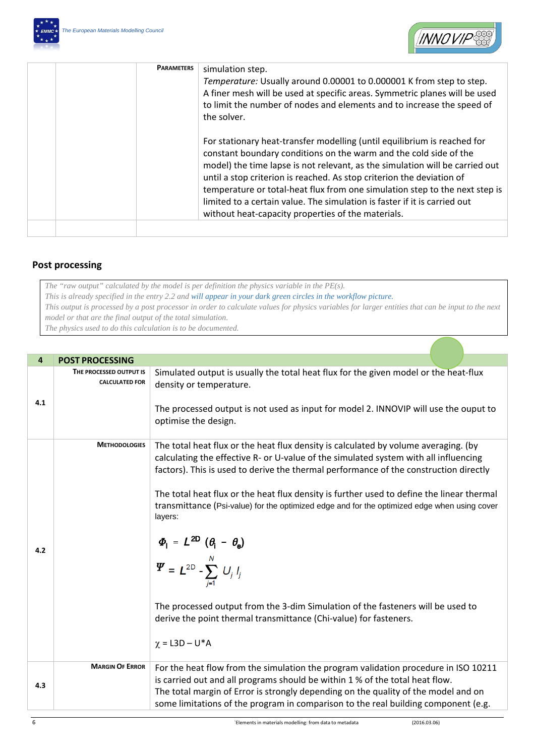



| <b>PARAMETERS</b> | simulation step.<br>Temperature: Usually around 0.00001 to 0.000001 K from step to step.<br>A finer mesh will be used at specific areas. Symmetric planes will be used<br>to limit the number of nodes and elements and to increase the speed of<br>the solver.                                                                                                                                                                                                                                                          |
|-------------------|--------------------------------------------------------------------------------------------------------------------------------------------------------------------------------------------------------------------------------------------------------------------------------------------------------------------------------------------------------------------------------------------------------------------------------------------------------------------------------------------------------------------------|
|                   | For stationary heat-transfer modelling (until equilibrium is reached for<br>constant boundary conditions on the warm and the cold side of the<br>model) the time lapse is not relevant, as the simulation will be carried out<br>until a stop criterion is reached. As stop criterion the deviation of<br>temperature or total-heat flux from one simulation step to the next step is<br>limited to a certain value. The simulation is faster if it is carried out<br>without heat-capacity properties of the materials. |
|                   |                                                                                                                                                                                                                                                                                                                                                                                                                                                                                                                          |

## **Post processing**

*The "raw output" calculated by the model is per definition the physics variable in the PE(s).*

*This is already specified in the entry 2.2 and will appear in your dark green circles in the workflow picture.*

*This output is processed by a post processor in order to calculate values for physics variables for larger entities that can be input to the next model or that are the final output of the total simulation.*

*The physics used to do this calculation is to be documented.*

| $\overline{4}$ | <b>POST PROCESSING</b>                           |                                                                                                                                                                                                                                                                                                                                                                                                                                                                                                                                                                                                                                                                                                                                                             |  |
|----------------|--------------------------------------------------|-------------------------------------------------------------------------------------------------------------------------------------------------------------------------------------------------------------------------------------------------------------------------------------------------------------------------------------------------------------------------------------------------------------------------------------------------------------------------------------------------------------------------------------------------------------------------------------------------------------------------------------------------------------------------------------------------------------------------------------------------------------|--|
| 4.1            | THE PROCESSED OUTPUT IS<br><b>CALCULATED FOR</b> | Simulated output is usually the total heat flux for the given model or the heat-flux<br>density or temperature.<br>The processed output is not used as input for model 2. INNOVIP will use the ouput to<br>optimise the design.                                                                                                                                                                                                                                                                                                                                                                                                                                                                                                                             |  |
| 4.2            | <b>METHODOLOGIES</b>                             | The total heat flux or the heat flux density is calculated by volume averaging. (by<br>calculating the effective R- or U-value of the simulated system with all influencing<br>factors). This is used to derive the thermal performance of the construction directly<br>The total heat flux or the heat flux density is further used to define the linear thermal<br>transmittance (Psi-value) for the optimized edge and for the optimized edge when using cover<br>layers:<br>$\Phi_{1} = L^{2D} (\theta_{i} - \theta_{0})$<br>$\Psi = L^{2D} - \sum_{i=1}^{N} U_{j} I_{j}$<br>The processed output from the 3-dim Simulation of the fasteners will be used to<br>derive the point thermal transmittance (Chi-value) for fasteners.<br>$\chi =$ L3D – U*A |  |
| 4.3            | <b>MARGIN OF ERROR</b>                           | For the heat flow from the simulation the program validation procedure in ISO 10211<br>is carried out and all programs should be within 1 % of the total heat flow.<br>The total margin of Error is strongly depending on the quality of the model and on<br>some limitations of the program in comparison to the real building component (e.g.                                                                                                                                                                                                                                                                                                                                                                                                             |  |
| 6              |                                                  | (2016.03.06)<br>`Elements in materials modelling: from data to metadata                                                                                                                                                                                                                                                                                                                                                                                                                                                                                                                                                                                                                                                                                     |  |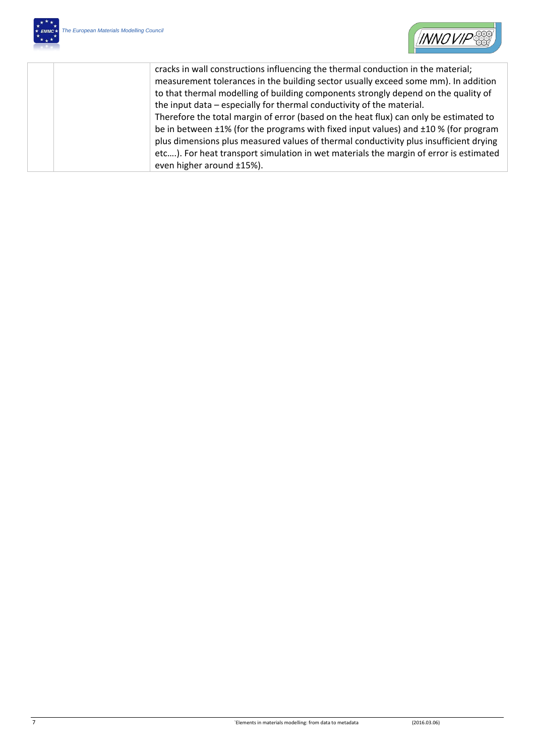

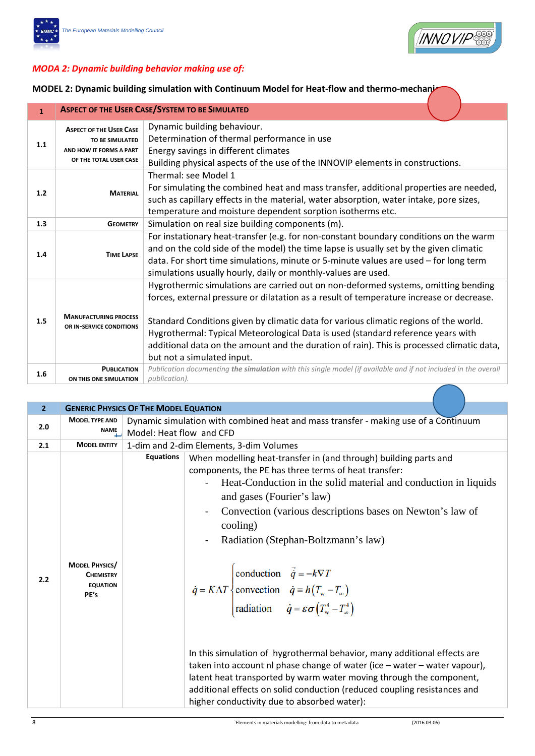



## *MODA 2: Dynamic building behavior making use of:*

**MODEL 2: Dynamic building simulation with Continuum Model for Heat-flow and thermo-mechanizy** 

| $\mathbf{1}$ | <b>ASPECT OF THE USER CASE/SYSTEM TO BE SIMULATED</b>                                                                                                                                                                                                                                                          |                                                                                                                                                                                                                                                                                                                                                                                                                                                                                        |  |  |
|--------------|----------------------------------------------------------------------------------------------------------------------------------------------------------------------------------------------------------------------------------------------------------------------------------------------------------------|----------------------------------------------------------------------------------------------------------------------------------------------------------------------------------------------------------------------------------------------------------------------------------------------------------------------------------------------------------------------------------------------------------------------------------------------------------------------------------------|--|--|
| 1.1          | Dynamic building behaviour.<br><b>ASPECT OF THE USER CASE</b><br>Determination of thermal performance in use<br>TO BE SIMULATED<br>Energy savings in different climates<br>AND HOW IT FORMS A PART<br>OF THE TOTAL USER CASE<br>Building physical aspects of the use of the INNOVIP elements in constructions. |                                                                                                                                                                                                                                                                                                                                                                                                                                                                                        |  |  |
| 1.2          | Thermal: see Model 1<br>For simulating the combined heat and mass transfer, additional properties are needed,<br><b>MATERIAL</b><br>such as capillary effects in the material, water absorption, water intake, pore sizes,<br>temperature and moisture dependent sorption isotherms etc.                       |                                                                                                                                                                                                                                                                                                                                                                                                                                                                                        |  |  |
| 1.3          | <b>GEOMETRY</b>                                                                                                                                                                                                                                                                                                | Simulation on real size building components (m).                                                                                                                                                                                                                                                                                                                                                                                                                                       |  |  |
| 1.4          | <b>TIME LAPSE</b>                                                                                                                                                                                                                                                                                              | For instationary heat-transfer (e.g. for non-constant boundary conditions on the warm<br>and on the cold side of the model) the time lapse is usually set by the given climatic<br>data. For short time simulations, minute or 5-minute values are used - for long term<br>simulations usually hourly, daily or monthly-values are used.                                                                                                                                               |  |  |
| 1.5          | <b>MANUFACTURING PROCESS</b><br>OR IN-SERVICE CONDITIONS                                                                                                                                                                                                                                                       | Hygrothermic simulations are carried out on non-deformed systems, omitting bending<br>forces, external pressure or dilatation as a result of temperature increase or decrease.<br>Standard Conditions given by climatic data for various climatic regions of the world.<br>Hygrothermal: Typical Meteorological Data is used (standard reference years with<br>additional data on the amount and the duration of rain). This is processed climatic data,<br>but not a simulated input. |  |  |
| 1.6          | <b>PUBLICATION</b><br>ON THIS ONE SIMULATION                                                                                                                                                                                                                                                                   | Publication documenting the simulation with this single model (if available and if not included in the overall<br>publication).                                                                                                                                                                                                                                                                                                                                                        |  |  |

| $\overline{2}$ |                                                                      | <b>GENERIC PHYSICS OF THE MODEL EQUATION</b> |                                                                                                                                                                                                                                                                                                                                                                                                                                                                                                                                                                                                                                                                                                                                                                                                                                                                                                           |  |  |
|----------------|----------------------------------------------------------------------|----------------------------------------------|-----------------------------------------------------------------------------------------------------------------------------------------------------------------------------------------------------------------------------------------------------------------------------------------------------------------------------------------------------------------------------------------------------------------------------------------------------------------------------------------------------------------------------------------------------------------------------------------------------------------------------------------------------------------------------------------------------------------------------------------------------------------------------------------------------------------------------------------------------------------------------------------------------------|--|--|
| 2.0            | <b>MODEL TYPE AND</b><br>NAME                                        |                                              | Dynamic simulation with combined heat and mass transfer - making use of a Continuum<br>Model: Heat flow and CFD                                                                                                                                                                                                                                                                                                                                                                                                                                                                                                                                                                                                                                                                                                                                                                                           |  |  |
| 2.1            | <b>MODEL ENTITY</b>                                                  |                                              | 1-dim and 2-dim Elements, 3-dim Volumes                                                                                                                                                                                                                                                                                                                                                                                                                                                                                                                                                                                                                                                                                                                                                                                                                                                                   |  |  |
| 2.2            | <b>MODEL PHYSICS/</b><br><b>CHEMISTRY</b><br><b>EQUATION</b><br>PE's | <b>Equations</b>                             | When modelling heat-transfer in (and through) building parts and<br>components, the PE has three terms of heat transfer:<br>Heat-Conduction in the solid material and conduction in liquids<br>and gases (Fourier's law)<br>Convection (various descriptions bases on Newton's law of<br>cooling)<br>Radiation (Stephan-Boltzmann's law)<br>$\vec{q} = K\Delta T \begin{cases} \text{conduction} & \vec{q} = -k\nabla T \\ \text{convection} & \vec{q} = h(T_w - T_w) \end{cases}$<br>radiation $\dot{q} = \varepsilon \sigma (T_w^4 - T_w^4)$<br>In this simulation of hygrothermal behavior, many additional effects are<br>taken into account nl phase change of water (ice - water - water vapour),<br>latent heat transported by warm water moving through the component,<br>additional effects on solid conduction (reduced coupling resistances and<br>higher conductivity due to absorbed water): |  |  |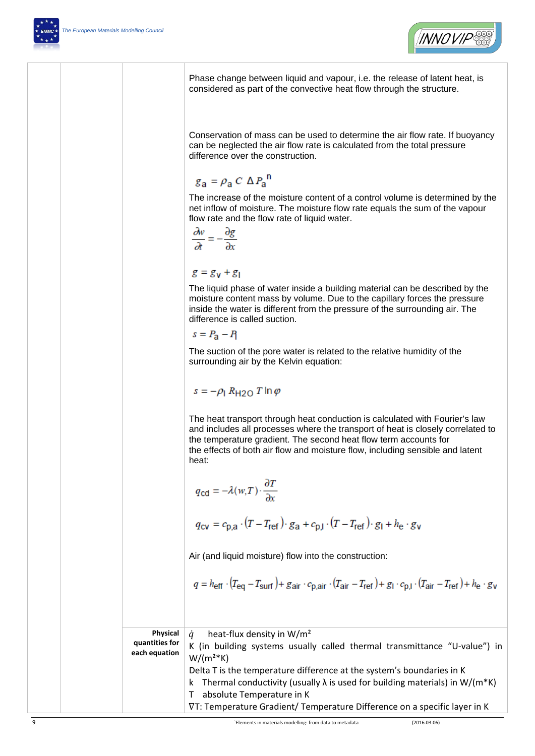

Phase change between liquid and vapour, i.e. the release of latent heat, is considered as part of the convective heat flow through the structure.

Conservation of mass can be used to determine the air flow rate. If buoyancy can be neglected the air flow rate is calculated from the total pressure difference over the construction.

$$
g_{\rm a} = \rho_{\rm a} C \Delta P_{\rm a}^{\rm n}
$$

The increase of the moisture content of a control volume is determined by the net inflow of moisture. The moisture flow rate equals the sum of the vapour flow rate and the flow rate of liquid water.

$$
\frac{\partial w}{\partial t} = -\frac{\partial g}{\partial x}
$$

 $g = g_v + g_l$ 

The liquid phase of water inside a building material can be described by the moisture content mass by volume. Due to the capillary forces the pressure inside the water is different from the pressure of the surrounding air. The difference is called suction.

$$
s = P_{\mathbf{a}} - P_{\mathbf{f}}
$$

The suction of the pore water is related to the relative humidity of the surrounding air by the Kelvin equation:

$$
s = -\rho_1 R_{\text{H2O}} T \ln \varphi
$$

The heat transport through heat conduction is calculated with Fourier's law and includes all processes where the transport of heat is closely correlated to the temperature gradient. The second heat flow term accounts for the effects of both air flow and moisture flow, including sensible and latent heat:

$$
q_{\text{cd}} = -\lambda(w, T) \cdot \frac{\partial T}{\partial x}
$$
  

$$
q_{\text{cv}} = c_{\text{p,a}} \cdot (T - T_{\text{ref}}) \cdot g_{\text{a}} + c_{\text{p,l}} \cdot (T - T_{\text{ref}}) \cdot g_{\text{l}} + h_{\text{e}} \cdot g_{\text{v}}
$$

Air (and liquid moisture) flow into the construction:

$$
q = h_{\text{eff}} \cdot (T_{\text{eq}} - T_{\text{surf}}) + g_{\text{air}} \cdot c_{\text{p,air}} \cdot (T_{\text{air}} - T_{\text{ref}}) + g_{\text{I}} \cdot c_{\text{p, I}} \cdot (T_{\text{air}} - T_{\text{ref}}) + h_{\text{e}} \cdot g_{\text{v}}
$$

| Physical<br>quantities for<br>each equation | heat-flux density in $W/m^2$<br>K (in building systems usually called thermal transmittance "U-value") in<br>$W/(m2*K)$                                                                                                                                                 |
|---------------------------------------------|-------------------------------------------------------------------------------------------------------------------------------------------------------------------------------------------------------------------------------------------------------------------------|
|                                             | Delta T is the temperature difference at the system's boundaries in K<br>k Thermal conductivity (usually $\lambda$ is used for building materials) in W/(m*K)<br>absolute Temperature in K<br>VT: Temperature Gradient/ Temperature Difference on a specific layer in K |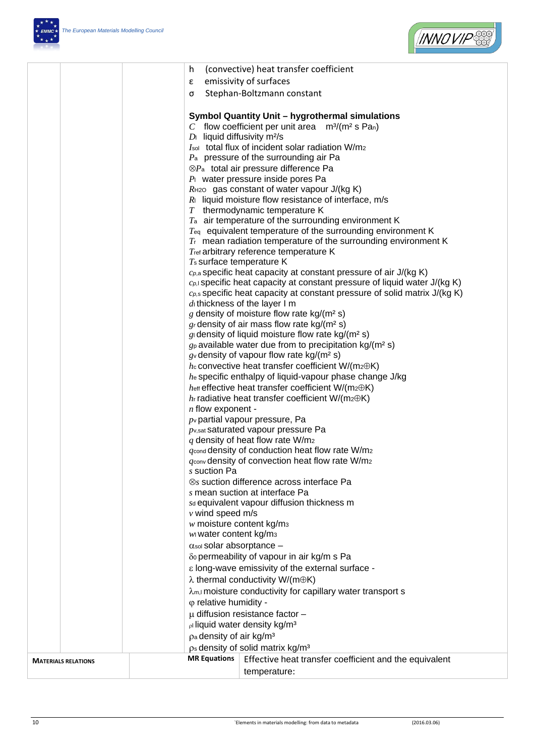



|                            | h                                          | (convective) heat transfer coefficient                                                                                    |  |
|----------------------------|--------------------------------------------|---------------------------------------------------------------------------------------------------------------------------|--|
|                            | ε                                          | emissivity of surfaces                                                                                                    |  |
|                            | σ                                          | Stephan-Boltzmann constant                                                                                                |  |
|                            |                                            |                                                                                                                           |  |
|                            |                                            | Symbol Quantity Unit - hygrothermal simulations                                                                           |  |
|                            |                                            | C flow coefficient per unit area $m^3/(m^2 s \text{ Pa})$                                                                 |  |
|                            | $D_1$ liquid diffusivity m <sup>2</sup> /s |                                                                                                                           |  |
|                            |                                            | Isol total flux of incident solar radiation W/m2                                                                          |  |
|                            |                                            | $P_a$ pressure of the surrounding air Pa                                                                                  |  |
|                            |                                            | $\otimes P_a$ total air pressure difference Pa                                                                            |  |
|                            |                                            | $P1$ water pressure inside pores Pa                                                                                       |  |
|                            |                                            | $R$ <sub>H2O</sub> gas constant of water vapour $J/(kg K)$                                                                |  |
|                            |                                            | $R_1$ liquid moisture flow resistance of interface, m/s<br>$T$ thermodynamic temperature K                                |  |
|                            |                                            | $T_a$ air temperature of the surrounding environment K                                                                    |  |
|                            |                                            | $T_{eq}$ equivalent temperature of the surrounding environment K                                                          |  |
|                            |                                            | $Tr$ mean radiation temperature of the surrounding environment K                                                          |  |
|                            |                                            | Tret arbitrary reference temperature K                                                                                    |  |
|                            | $T_s$ surface temperature K                |                                                                                                                           |  |
|                            |                                            | $c_{p,a}$ specific heat capacity at constant pressure of air J/(kg K)                                                     |  |
|                            |                                            | $c_{p,l}$ specific heat capacity at constant pressure of liquid water J/(kg K)                                            |  |
|                            |                                            | $c_{p,s}$ specific heat capacity at constant pressure of solid matrix J/(kg K)                                            |  |
|                            |                                            | $d$ thickness of the layer I m<br>g density of moisture flow rate $kg/(m^2 s)$                                            |  |
|                            |                                            |                                                                                                                           |  |
|                            |                                            | gr density of air mass flow rate $kg/(m^2 s)$<br>$g_1$ density of liquid moisture flow rate kg/(m <sup>2</sup> s)         |  |
|                            |                                            | $g_p$ available water due from to precipitation kg/(m <sup>2</sup> s)                                                     |  |
|                            |                                            | $g_v$ density of vapour flow rate kg/(m <sup>2</sup> s)                                                                   |  |
|                            |                                            | $h$ convective heat transfer coefficient W/(m2 $\oplus$ K)                                                                |  |
|                            |                                            | he specific enthalpy of liquid-vapour phase change J/kg                                                                   |  |
|                            |                                            | $h$ <sub>eff</sub> effective heat transfer coefficient W/(m <sub>2</sub> $\oplus$ K)                                      |  |
|                            |                                            | $h_r$ radiative heat transfer coefficient W/(m2 $\oplus$ K)                                                               |  |
|                            | $n$ flow exponent -                        |                                                                                                                           |  |
|                            |                                            | $p_v$ partial vapour pressure, Pa                                                                                         |  |
|                            |                                            | $p_{v, sat}$ saturated vapour pressure Pa                                                                                 |  |
|                            |                                            | $q$ density of heat flow rate W/m <sub>2</sub><br>$q_{\text{cond}}$ density of conduction heat flow rate W/m <sub>2</sub> |  |
|                            |                                            | $q_{\text{conv}}$ density of convection heat flow rate W/m2                                                               |  |
|                            |                                            | s suction Pa                                                                                                              |  |
|                            |                                            | ⊗s suction difference across interface Pa                                                                                 |  |
|                            |                                            | s mean suction at interface Pa                                                                                            |  |
|                            |                                            | sd equivalent vapour diffusion thickness m                                                                                |  |
|                            | $\nu$ wind speed m/s                       |                                                                                                                           |  |
|                            |                                            | $w$ moisture content kg/m <sub>3</sub>                                                                                    |  |
|                            | ww water content kg/m3                     |                                                                                                                           |  |
|                            | $\alpha$ sol Solar absorptance -           |                                                                                                                           |  |
|                            |                                            | δο permeability of vapour in air kg/m s Pa                                                                                |  |
|                            |                                            | ε long-wave emissivity of the external surface -                                                                          |  |
|                            |                                            | $\lambda$ thermal conductivity W/(m $\oplus$ K)                                                                           |  |
|                            |                                            | $\lambda$ <sub>m,I</sub> moisture conductivity for capillary water transport s<br>$\varphi$ relative humidity -           |  |
|                            |                                            |                                                                                                                           |  |
|                            |                                            | $\mu$ diffusion resistance factor -                                                                                       |  |
|                            |                                            | pl liquid water density kg/m <sup>3</sup>                                                                                 |  |
|                            |                                            | pa density of air kg/m <sup>3</sup><br>$p_s$ density of solid matrix kg/m <sup>3</sup>                                    |  |
|                            | <b>MR Equations</b>                        | Effective heat transfer coefficient and the equivalent                                                                    |  |
| <b>MATERIALS RELATIONS</b> |                                            |                                                                                                                           |  |
|                            |                                            | temperature:                                                                                                              |  |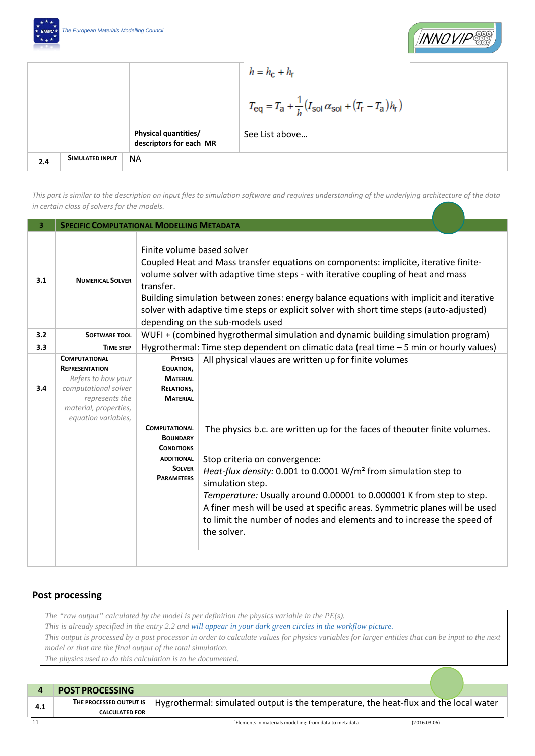



|     |                 |                                                        | $h = h_{\rm c} + h_{\rm r}$                                                                                                    |
|-----|-----------------|--------------------------------------------------------|--------------------------------------------------------------------------------------------------------------------------------|
|     |                 |                                                        | $T_{\text{eq}} = T_{\text{a}} + \frac{1}{h} (I_{\text{sol}} \alpha_{\text{sol}} + (T_{\text{r}} - T_{\text{a}}) h_{\text{r}})$ |
|     |                 | <b>Physical quantities/</b><br>descriptors for each MR | See List above                                                                                                                 |
| 2.4 | SIMULATED INPUT | <b>NA</b>                                              |                                                                                                                                |

*This part is similar to the description on input files to simulation software and requires understanding of the underlying architecture of the data in certain class of solvers for the models.* 

| <b>SPECIFIC COMPUTATIONAL MODELLING METADATA</b>                                                                                       |                                                                                                                                                                                                                                                                                                                                                                                                                                                 |                                                                                                                                                                                                                                                                                                                                                                                 |  |
|----------------------------------------------------------------------------------------------------------------------------------------|-------------------------------------------------------------------------------------------------------------------------------------------------------------------------------------------------------------------------------------------------------------------------------------------------------------------------------------------------------------------------------------------------------------------------------------------------|---------------------------------------------------------------------------------------------------------------------------------------------------------------------------------------------------------------------------------------------------------------------------------------------------------------------------------------------------------------------------------|--|
| <b>NUMERICAL SOLVER</b>                                                                                                                | Finite volume based solver<br>Coupled Heat and Mass transfer equations on components: implicite, iterative finite-<br>volume solver with adaptive time steps - with iterative coupling of heat and mass<br>transfer.<br>Building simulation between zones: energy balance equations with implicit and iterative<br>solver with adaptive time steps or explicit solver with short time steps (auto-adjusted)<br>depending on the sub-models used |                                                                                                                                                                                                                                                                                                                                                                                 |  |
| SOFTWARE TOOL                                                                                                                          | WUFI + (combined hygrothermal simulation and dynamic building simulation program)                                                                                                                                                                                                                                                                                                                                                               |                                                                                                                                                                                                                                                                                                                                                                                 |  |
| <b>TIME STEP</b>                                                                                                                       | Hygrothermal: Time step dependent on climatic data (real time - 5 min or hourly values)                                                                                                                                                                                                                                                                                                                                                         |                                                                                                                                                                                                                                                                                                                                                                                 |  |
| <b>COMPUTATIONAL</b><br><b>REPRESENTATION</b><br>Refers to how your<br>computational solver<br>represents the<br>material, properties, | <b>PHYSICS</b><br>EQUATION,<br><b>MATERIAL</b><br><b>RELATIONS,</b><br><b>MATERIAL</b>                                                                                                                                                                                                                                                                                                                                                          | All physical vlaues are written up for finite volumes                                                                                                                                                                                                                                                                                                                           |  |
|                                                                                                                                        | <b>COMPUTATIONAL</b><br><b>BOUNDARY</b><br><b>CONDITIONS</b>                                                                                                                                                                                                                                                                                                                                                                                    | The physics b.c. are written up for the faces of theouter finite volumes.                                                                                                                                                                                                                                                                                                       |  |
|                                                                                                                                        | <b>ADDITIONAL</b><br><b>SOLVER</b><br><b>PARAMETERS</b>                                                                                                                                                                                                                                                                                                                                                                                         | Stop criteria on convergence:<br>Heat-flux density: 0.001 to 0.0001 W/m <sup>2</sup> from simulation step to<br>simulation step.<br>Temperature: Usually around 0.00001 to 0.000001 K from step to step.<br>A finer mesh will be used at specific areas. Symmetric planes will be used<br>to limit the number of nodes and elements and to increase the speed of<br>the solver. |  |
|                                                                                                                                        | equation variables,                                                                                                                                                                                                                                                                                                                                                                                                                             |                                                                                                                                                                                                                                                                                                                                                                                 |  |

## **Post processing**

*The "raw output" calculated by the model is per definition the physics variable in the PE(s). This is already specified in the entry 2.2 and will appear in your dark green circles in the workflow picture. This output is processed by a post processor in order to calculate values for physics variables for larger entities that can be input to the next model or that are the final output of the total simulation. The physics used to do this calculation is to be documented.*

|     | <b>POST PROCESSING</b>                           |                                                                                      |              |
|-----|--------------------------------------------------|--------------------------------------------------------------------------------------|--------------|
| 4.1 | THE PROCESSED OUTPUT IS<br><b>CALCULATED FOR</b> | Hygrothermal: simulated output is the temperature, the heat-flux and the local water |              |
| 11  |                                                  | 'Elements in materials modelling: from data to metadata                              | (2016.03.06) |